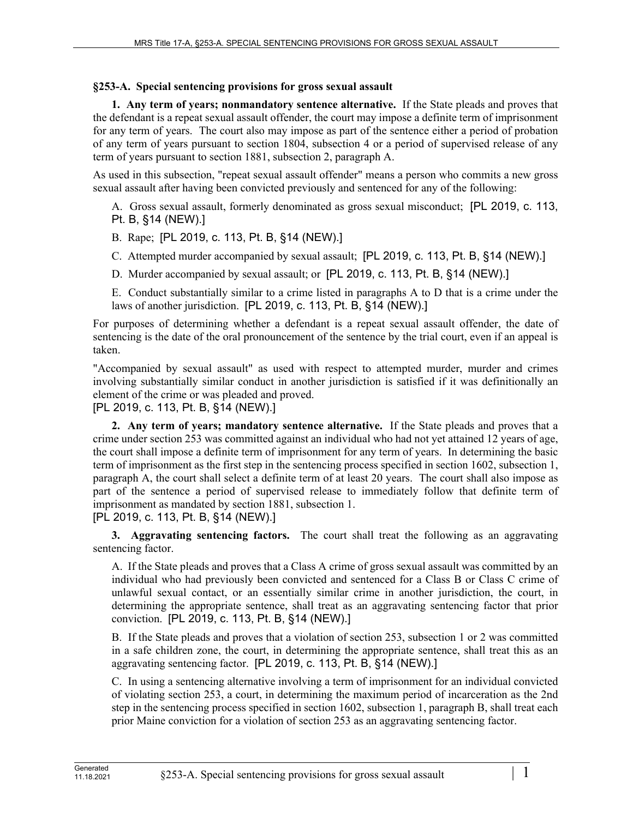## **§253-A. Special sentencing provisions for gross sexual assault**

**1. Any term of years; nonmandatory sentence alternative.** If the State pleads and proves that the defendant is a repeat sexual assault offender, the court may impose a definite term of imprisonment for any term of years. The court also may impose as part of the sentence either a period of probation of any term of years pursuant to section 1804, subsection 4 or a period of supervised release of any term of years pursuant to section 1881, subsection 2, paragraph A.

As used in this subsection, "repeat sexual assault offender" means a person who commits a new gross sexual assault after having been convicted previously and sentenced for any of the following:

A. Gross sexual assault, formerly denominated as gross sexual misconduct; [PL 2019, c. 113, Pt. B, §14 (NEW).]

B. Rape; [PL 2019, c. 113, Pt. B, §14 (NEW).]

C. Attempted murder accompanied by sexual assault; [PL 2019, c. 113, Pt. B, §14 (NEW).]

D. Murder accompanied by sexual assault; or [PL 2019, c. 113, Pt. B, §14 (NEW).]

E. Conduct substantially similar to a crime listed in paragraphs A to D that is a crime under the laws of another jurisdiction. [PL 2019, c. 113, Pt. B, §14 (NEW).]

For purposes of determining whether a defendant is a repeat sexual assault offender, the date of sentencing is the date of the oral pronouncement of the sentence by the trial court, even if an appeal is taken.

"Accompanied by sexual assault" as used with respect to attempted murder, murder and crimes involving substantially similar conduct in another jurisdiction is satisfied if it was definitionally an element of the crime or was pleaded and proved.

[PL 2019, c. 113, Pt. B, §14 (NEW).]

**2. Any term of years; mandatory sentence alternative.** If the State pleads and proves that a crime under section 253 was committed against an individual who had not yet attained 12 years of age, the court shall impose a definite term of imprisonment for any term of years. In determining the basic term of imprisonment as the first step in the sentencing process specified in section 1602, subsection 1, paragraph A, the court shall select a definite term of at least 20 years. The court shall also impose as part of the sentence a period of supervised release to immediately follow that definite term of imprisonment as mandated by section 1881, subsection 1.

[PL 2019, c. 113, Pt. B, §14 (NEW).]

**3. Aggravating sentencing factors.** The court shall treat the following as an aggravating sentencing factor.

A. If the State pleads and proves that a Class A crime of gross sexual assault was committed by an individual who had previously been convicted and sentenced for a Class B or Class C crime of unlawful sexual contact, or an essentially similar crime in another jurisdiction, the court, in determining the appropriate sentence, shall treat as an aggravating sentencing factor that prior conviction. [PL 2019, c. 113, Pt. B, §14 (NEW).]

B. If the State pleads and proves that a violation of section 253, subsection 1 or 2 was committed in a safe children zone, the court, in determining the appropriate sentence, shall treat this as an aggravating sentencing factor. [PL 2019, c. 113, Pt. B, §14 (NEW).]

C. In using a sentencing alternative involving a term of imprisonment for an individual convicted of violating section 253, a court, in determining the maximum period of incarceration as the 2nd step in the sentencing process specified in section 1602, subsection 1, paragraph B, shall treat each prior Maine conviction for a violation of section 253 as an aggravating sentencing factor.